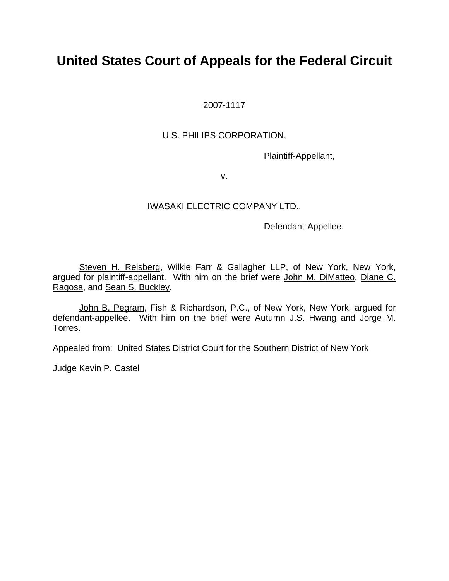# **United States Court of Appeals for the Federal Circuit**

2007-1117

### U.S. PHILIPS CORPORATION,

Plaintiff-Appellant,

v.

### IWASAKI ELECTRIC COMPANY LTD.,

Defendant-Appellee.

Steven H. Reisberg, Wilkie Farr & Gallagher LLP, of New York, New York, argued for plaintiff-appellant. With him on the brief were John M. DiMatteo, Diane C. Ragosa, and Sean S. Buckley.

John B. Pegram, Fish & Richardson, P.C., of New York, New York, argued for defendant-appellee. With him on the brief were Autumn J.S. Hwang and Jorge M. Torres.

Appealed from: United States District Court for the Southern District of New York

Judge Kevin P. Castel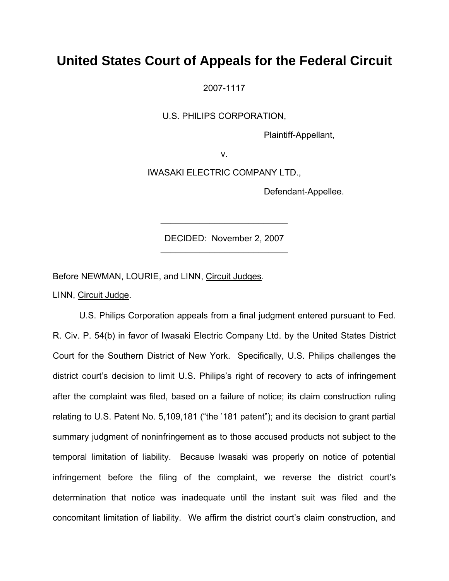## **United States Court of Appeals for the Federal Circuit**

2007-1117

U.S. PHILIPS CORPORATION,

Plaintiff-Appellant,

v.

IWASAKI ELECTRIC COMPANY LTD.,

Defendant-Appellee.

DECIDED: November 2, 2007 \_\_\_\_\_\_\_\_\_\_\_\_\_\_\_\_\_\_\_\_\_\_\_\_\_\_

 $\mathcal{L}=\mathcal{L}^{\mathcal{L}}$  , where  $\mathcal{L}^{\mathcal{L}}$  , we have the set of  $\mathcal{L}^{\mathcal{L}}$ 

Before NEWMAN, LOURIE, and LINN, Circuit Judges.

LINN, Circuit Judge.

U.S. Philips Corporation appeals from a final judgment entered pursuant to Fed. R. Civ. P. 54(b) in favor of Iwasaki Electric Company Ltd. by the United States District Court for the Southern District of New York. Specifically, U.S. Philips challenges the district court's decision to limit U.S. Philips's right of recovery to acts of infringement after the complaint was filed, based on a failure of notice; its claim construction ruling relating to U.S. Patent No. 5,109,181 ("the '181 patent"); and its decision to grant partial summary judgment of noninfringement as to those accused products not subject to the temporal limitation of liability. Because Iwasaki was properly on notice of potential infringement before the filing of the complaint, we reverse the district court's determination that notice was inadequate until the instant suit was filed and the concomitant limitation of liability. We affirm the district court's claim construction, and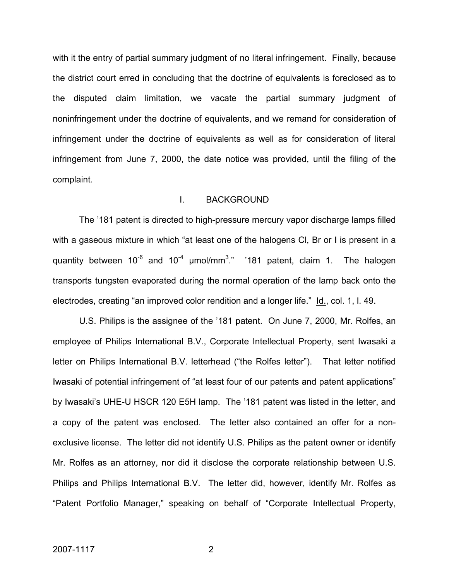with it the entry of partial summary judgment of no literal infringement. Finally, because the district court erred in concluding that the doctrine of equivalents is foreclosed as to the disputed claim limitation, we vacate the partial summary judgment of noninfringement under the doctrine of equivalents, and we remand for consideration of infringement under the doctrine of equivalents as well as for consideration of literal infringement from June 7, 2000, the date notice was provided, until the filing of the complaint.

#### I. BACKGROUND

The '181 patent is directed to high-pressure mercury vapor discharge lamps filled with a gaseous mixture in which "at least one of the halogens CI, Br or I is present in a quantity between 10<sup>-6</sup> and 10<sup>-4</sup>  $\mu$ mol/mm<sup>3</sup>." '181 patent, claim 1. The halogen transports tungsten evaporated during the normal operation of the lamp back onto the electrodes, creating "an improved color rendition and a longer life." Id., col. 1, l. 49.

U.S. Philips is the assignee of the '181 patent. On June 7, 2000, Mr. Rolfes, an employee of Philips International B.V., Corporate Intellectual Property, sent Iwasaki a letter on Philips International B.V. letterhead ("the Rolfes letter"). That letter notified Iwasaki of potential infringement of "at least four of our patents and patent applications" by Iwasaki's UHE-U HSCR 120 E5H lamp. The '181 patent was listed in the letter, and a copy of the patent was enclosed. The letter also contained an offer for a nonexclusive license. The letter did not identify U.S. Philips as the patent owner or identify Mr. Rolfes as an attorney, nor did it disclose the corporate relationship between U.S. Philips and Philips International B.V. The letter did, however, identify Mr. Rolfes as "Patent Portfolio Manager," speaking on behalf of "Corporate Intellectual Property,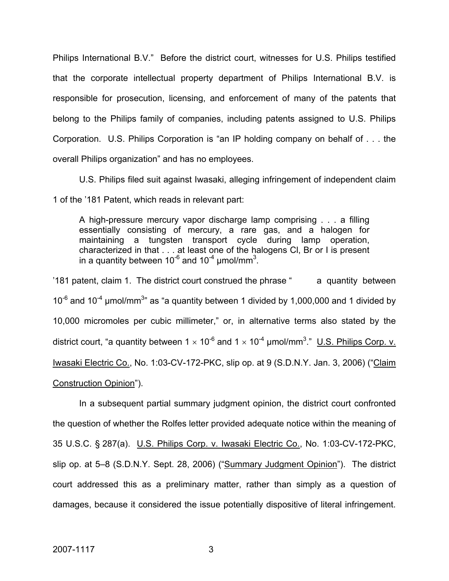Philips International B.V." Before the district court, witnesses for U.S. Philips testified that the corporate intellectual property department of Philips International B.V. is responsible for prosecution, licensing, and enforcement of many of the patents that belong to the Philips family of companies, including patents assigned to U.S. Philips Corporation. U.S. Philips Corporation is "an IP holding company on behalf of . . . the overall Philips organization" and has no employees.

U.S. Philips filed suit against Iwasaki, alleging infringement of independent claim 1 of the '181 Patent, which reads in relevant part:

A high-pressure mercury vapor discharge lamp comprising . . . a filling essentially consisting of mercury, a rare gas, and a halogen for maintaining a tungsten transport cycle during lamp operation, characterized in that . . . at least one of the halogens Cl, Br or I is present in a quantity between 10<sup>-6</sup> and 10<sup>-4</sup> µmol/mm<sup>3</sup>.

'181 patent, claim 1. The district court construed the phrase " a quantity between  $10^{-6}$  and  $10^{-4}$  µmol/mm<sup>3</sup>" as "a quantity between 1 divided by 1,000,000 and 1 divided by 10,000 micromoles per cubic millimeter," or, in alternative terms also stated by the district court, "a quantity between 1  $\times$  10<sup>-6</sup> and 1  $\times$  10<sup>-4</sup> µmol/mm<sup>3</sup>." <u>U.S. Philips Corp. v.</u> Iwasaki Electric Co., No. 1:03-CV-172-PKC, slip op. at 9 (S.D.N.Y. Jan. 3, 2006) ("Claim Construction Opinion").

In a subsequent partial summary judgment opinion, the district court confronted the question of whether the Rolfes letter provided adequate notice within the meaning of 35 U.S.C. § 287(a). U.S. Philips Corp. v. Iwasaki Electric Co., No. 1:03-CV-172-PKC, slip op. at 5–8 (S.D.N.Y. Sept. 28, 2006) ("Summary Judgment Opinion"). The district court addressed this as a preliminary matter, rather than simply as a question of damages, because it considered the issue potentially dispositive of literal infringement.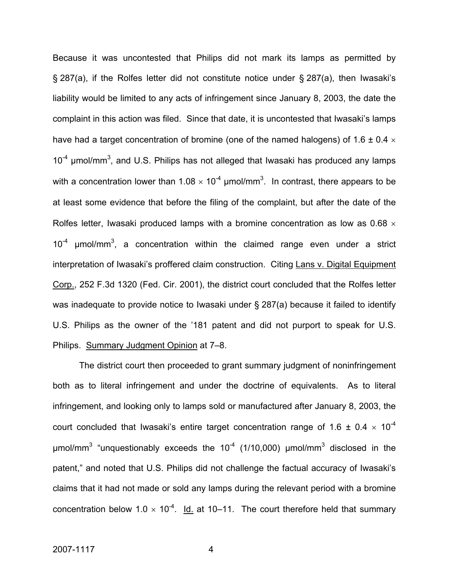Because it was uncontested that Philips did not mark its lamps as permitted by § 287(a), if the Rolfes letter did not constitute notice under § 287(a), then Iwasaki's liability would be limited to any acts of infringement since January 8, 2003, the date the complaint in this action was filed. Since that date, it is uncontested that Iwasaki's lamps have had a target concentration of bromine (one of the named halogens) of 1.6  $\pm$  0.4  $\times$  $10^{-4}$  µmol/mm<sup>3</sup>, and U.S. Philips has not alleged that Iwasaki has produced any lamps with a concentration lower than 1.08  $\times$  10<sup>-4</sup> µmol/mm<sup>3</sup>. In contrast, there appears to be at least some evidence that before the filing of the complaint, but after the date of the Rolfes letter, Iwasaki produced lamps with a bromine concentration as low as 0.68  $\times$  $10^{-4}$  µmol/mm<sup>3</sup>, a concentration within the claimed range even under a strict interpretation of Iwasaki's proffered claim construction. Citing Lans v. Digital Equipment Corp., 252 F.3d 1320 (Fed. Cir. 2001), the district court concluded that the Rolfes letter was inadequate to provide notice to Iwasaki under § 287(a) because it failed to identify U.S. Philips as the owner of the '181 patent and did not purport to speak for U.S. Philips. Summary Judgment Opinion at 7–8.

The district court then proceeded to grant summary judgment of noninfringement both as to literal infringement and under the doctrine of equivalents. As to literal infringement, and looking only to lamps sold or manufactured after January 8, 2003, the court concluded that Iwasaki's entire target concentration range of 1.6  $\pm$  0.4  $\times$  10<sup>-4</sup> μmol/mm<sup>3</sup> "unquestionably exceeds the 10<sup>-4</sup> (1/10,000) μmol/mm<sup>3</sup> disclosed in the patent," and noted that U.S. Philips did not challenge the factual accuracy of Iwasaki's claims that it had not made or sold any lamps during the relevant period with a bromine concentration below 1.0  $\times$  10<sup>-4</sup>. Id. at 10–11. The court therefore held that summary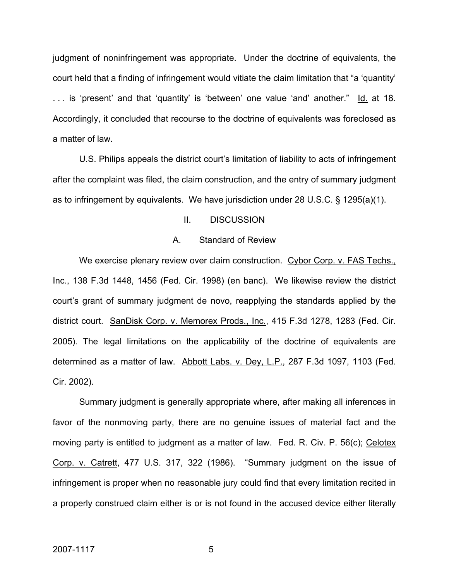judgment of noninfringement was appropriate. Under the doctrine of equivalents, the court held that a finding of infringement would vitiate the claim limitation that "a 'quantity' . . . is 'present' and that 'quantity' is 'between' one value 'and' another." Id. at 18. Accordingly, it concluded that recourse to the doctrine of equivalents was foreclosed as a matter of law.

 U.S. Philips appeals the district court's limitation of liability to acts of infringement after the complaint was filed, the claim construction, and the entry of summary judgment as to infringement by equivalents. We have jurisdiction under 28 U.S.C. § 1295(a)(1).

#### II. DISCUSSION

#### A. Standard of Review

We exercise plenary review over claim construction. Cybor Corp. v. FAS Techs., Inc., 138 F.3d 1448, 1456 (Fed. Cir. 1998) (en banc). We likewise review the district court's grant of summary judgment de novo, reapplying the standards applied by the district court. SanDisk Corp. v. Memorex Prods., Inc., 415 F.3d 1278, 1283 (Fed. Cir. 2005). The legal limitations on the applicability of the doctrine of equivalents are determined as a matter of law. Abbott Labs. v. Dey, L.P., 287 F.3d 1097, 1103 (Fed. Cir. 2002).

Summary judgment is generally appropriate where, after making all inferences in favor of the nonmoving party, there are no genuine issues of material fact and the moving party is entitled to judgment as a matter of law. Fed. R. Civ. P. 56(c); Celotex Corp. v. Catrett, 477 U.S. 317, 322 (1986). "Summary judgment on the issue of infringement is proper when no reasonable jury could find that every limitation recited in a properly construed claim either is or is not found in the accused device either literally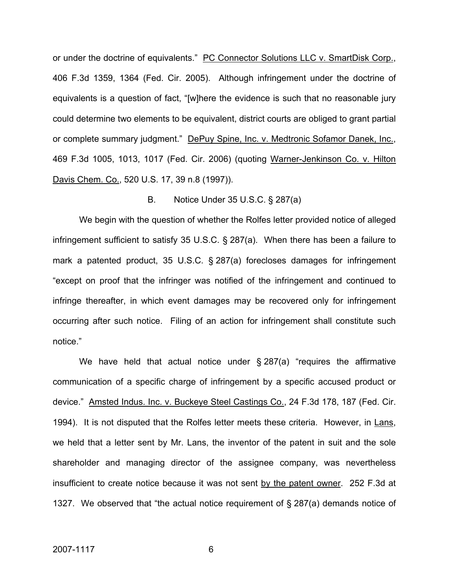or under the doctrine of equivalents." PC Connector Solutions LLC v. SmartDisk Corp., 406 F.3d 1359, 1364 (Fed. Cir. 2005). Although infringement under the doctrine of equivalents is a question of fact, "[w]here the evidence is such that no reasonable jury could determine two elements to be equivalent, district courts are obliged to grant partial or complete summary judgment." DePuy Spine, Inc. v. Medtronic Sofamor Danek, Inc., 469 F.3d 1005, 1013, 1017 (Fed. Cir. 2006) (quoting Warner-Jenkinson Co. v. Hilton Davis Chem. Co., 520 U.S. 17, 39 n.8 (1997)).

#### B. Notice Under 35 U.S.C. § 287(a)

We begin with the question of whether the Rolfes letter provided notice of alleged infringement sufficient to satisfy 35 U.S.C. § 287(a). When there has been a failure to mark a patented product, 35 U.S.C. § 287(a) forecloses damages for infringement "except on proof that the infringer was notified of the infringement and continued to infringe thereafter, in which event damages may be recovered only for infringement occurring after such notice. Filing of an action for infringement shall constitute such notice."

We have held that actual notice under § 287(a) "requires the affirmative communication of a specific charge of infringement by a specific accused product or device." Amsted Indus. Inc. v. Buckeye Steel Castings Co., 24 F.3d 178, 187 (Fed. Cir. 1994). It is not disputed that the Rolfes letter meets these criteria. However, in Lans, we held that a letter sent by Mr. Lans, the inventor of the patent in suit and the sole shareholder and managing director of the assignee company, was nevertheless insufficient to create notice because it was not sent by the patent owner. 252 F.3d at 1327. We observed that "the actual notice requirement of § 287(a) demands notice of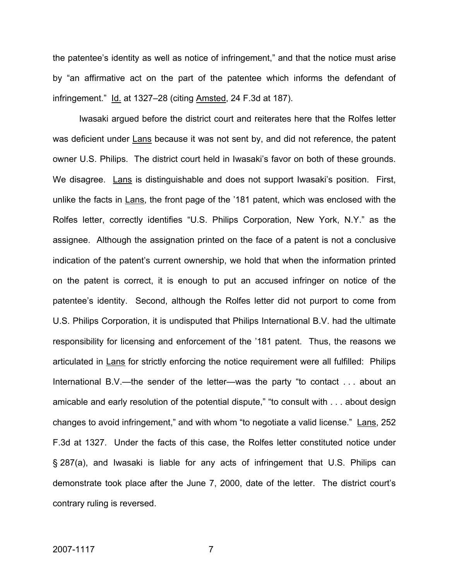the patentee's identity as well as notice of infringement," and that the notice must arise by "an affirmative act on the part of the patentee which informs the defendant of infringement." Id. at 1327–28 (citing Amsted, 24 F.3d at 187).

Iwasaki argued before the district court and reiterates here that the Rolfes letter was deficient under Lans because it was not sent by, and did not reference, the patent owner U.S. Philips. The district court held in Iwasaki's favor on both of these grounds. We disagree. Lans is distinguishable and does not support Iwasaki's position. First, unlike the facts in Lans, the front page of the '181 patent, which was enclosed with the Rolfes letter, correctly identifies "U.S. Philips Corporation, New York, N.Y." as the assignee. Although the assignation printed on the face of a patent is not a conclusive indication of the patent's current ownership, we hold that when the information printed on the patent is correct, it is enough to put an accused infringer on notice of the patentee's identity. Second, although the Rolfes letter did not purport to come from U.S. Philips Corporation, it is undisputed that Philips International B.V. had the ultimate responsibility for licensing and enforcement of the '181 patent. Thus, the reasons we articulated in Lans for strictly enforcing the notice requirement were all fulfilled: Philips International B.V.—the sender of the letter—was the party "to contact . . . about an amicable and early resolution of the potential dispute," "to consult with . . . about design changes to avoid infringement," and with whom "to negotiate a valid license." Lans, 252 F.3d at 1327. Under the facts of this case, the Rolfes letter constituted notice under § 287(a), and Iwasaki is liable for any acts of infringement that U.S. Philips can demonstrate took place after the June 7, 2000, date of the letter. The district court's contrary ruling is reversed.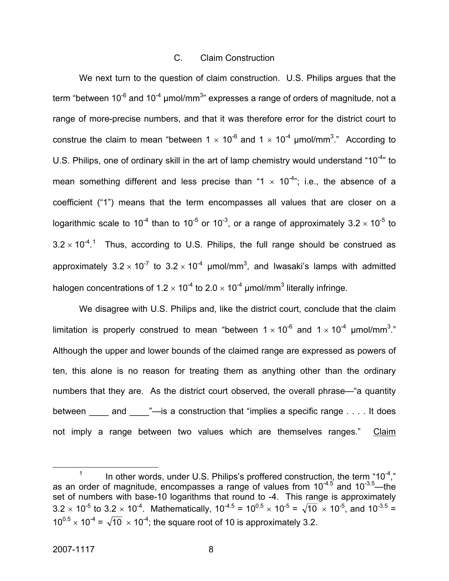#### C. Claim Construction

We next turn to the question of claim construction. U.S. Philips argues that the term "between 10<sup>-6</sup> and 10<sup>-4</sup> µmol/mm<sup>3</sup>" expresses a range of orders of magnitude, not a range of more-precise numbers, and that it was therefore error for the district court to construe the claim to mean "between 1  $\times$  10<sup>-6</sup> and 1  $\times$  10<sup>-4</sup> µmol/mm<sup>3</sup>." According to U.S. Philips, one of ordinary skill in the art of lamp chemistry would understand "10<sup>-4</sup>" to mean something different and less precise than "1  $\times$  10<sup>-4</sup>"; i.e., the absence of a coefficient ("1") means that the term encompasses all values that are closer on a logarithmic scale to 10<sup>-4</sup> than to 10<sup>-5</sup> or 10<sup>-3</sup>, or a range of approximately 3.2  $\times$  10<sup>-5</sup> to  $3.2 \times 10^{-4}$  $3.2 \times 10^{-4}$  $3.2 \times 10^{-4}$ .<sup>1</sup> Thus, according to U.S. Philips, the full range should be construed as approximately  $3.2 \times 10^{-7}$  to  $3.2 \times 10^{-4}$  µmol/mm<sup>3</sup>, and Iwasaki's lamps with admitted halogen concentrations of 1.2  $\times$  10<sup>-4</sup> to 2.0  $\times$  10<sup>-4</sup> µmol/mm<sup>3</sup> literally infringe.

We disagree with U.S. Philips and, like the district court, conclude that the claim limitation is properly construed to mean "between 1  $\times$  10<sup>-6</sup> and 1  $\times$  10<sup>-4</sup> µmol/mm<sup>3</sup>." Although the upper and lower bounds of the claimed range are expressed as powers of ten, this alone is no reason for treating them as anything other than the ordinary numbers that they are. As the district court observed, the overall phrase—"a quantity between  $\qquad$  and  $\qquad$  "—is a construction that "implies a specific range . . . . It does not imply a range between two values which are themselves ranges." Claim

<span id="page-8-0"></span> <sup>1</sup> In other words, under U.S. Philips's proffered construction, the term " $10^{-4}$ ," as an order of magnitude, encompasses a range of values from  $10^{-4.5}$  and  $10^{-3.5}$ —the set of numbers with base-10 logarithms that round to -4. This range is approximately  $3.2 \times 10^{-5}$  to  $3.2 \times 10^{-4}$ . Mathematically,  $10^{-4.5} = 10^{0.5} \times 10^{-5} = \sqrt{10} \times 10^{-5}$ , and  $10^{-3.5}$  $10^{0.5} \times 10^{-4} = \sqrt{10} \times 10^{-4}$ ; the square root of 10 is approximately 3.2.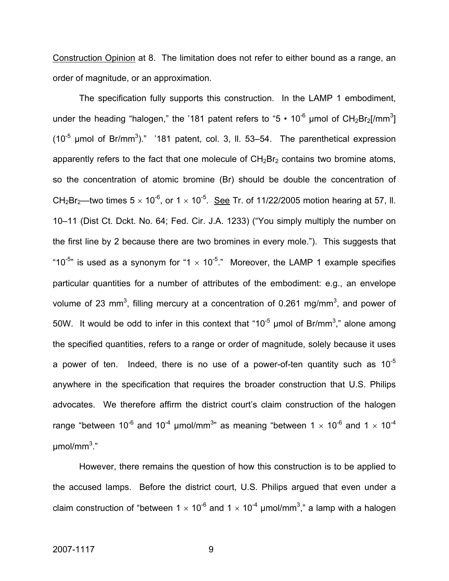Construction Opinion at 8. The limitation does not refer to either bound as a range, an order of magnitude, or an approximation.

The specification fully supports this construction. In the LAMP 1 embodiment, under the heading "halogen," the '181 patent refers to "5  $\cdot$  10<sup>-6</sup> µmol of CH<sub>2</sub>Br<sub>2</sub>[/mm<sup>3</sup>] (10<sup>-5</sup> µmol of Br/mm<sup>3</sup>)." '181 patent, col. 3, II. 53–54. The parenthetical expression apparently refers to the fact that one molecule of  $CH<sub>2</sub>Br<sub>2</sub>$  contains two bromine atoms, so the concentration of atomic bromine (Br) should be double the concentration of CH<sub>2</sub>Br<sub>2</sub>—two times  $5 \times 10^{-6}$ , or  $1 \times 10^{-5}$ . See Tr. of 11/22/2005 motion hearing at 57, II. 10–11 (Dist Ct. Dckt. No. 64; Fed. Cir. J.A. 1233) ("You simply multiply the number on the first line by 2 because there are two bromines in every mole."). This suggests that "10<sup>-5</sup>" is used as a synonym for "1  $\times$  10<sup>-5</sup>." Moreover, the LAMP 1 example specifies particular quantities for a number of attributes of the embodiment: e.g., an envelope volume of 23 mm<sup>3</sup>, filling mercury at a concentration of 0.261 mg/mm<sup>3</sup>, and power of 50W. It would be odd to infer in this context that "10<sup>-5</sup> µmol of Br/mm<sup>3</sup>," alone among the specified quantities, refers to a range or order of magnitude, solely because it uses a power of ten. Indeed, there is no use of a power-of-ten quantity such as  $10^{-5}$ anywhere in the specification that requires the broader construction that U.S. Philips advocates. We therefore affirm the district court's claim construction of the halogen range "between 10<sup>-6</sup> and 10<sup>-4</sup> µmol/mm<sup>3</sup>" as meaning "between 1  $\times$  10<sup>-6</sup> and 1  $\times$  10<sup>-4</sup> μmol/mm<sup>3</sup> ."

However, there remains the question of how this construction is to be applied to the accused lamps. Before the district court, U.S. Philips argued that even under a claim construction of "between 1  $\times$  10<sup>-6</sup> and 1  $\times$  10<sup>-4</sup> µmol/mm<sup>3</sup>," a lamp with a halogen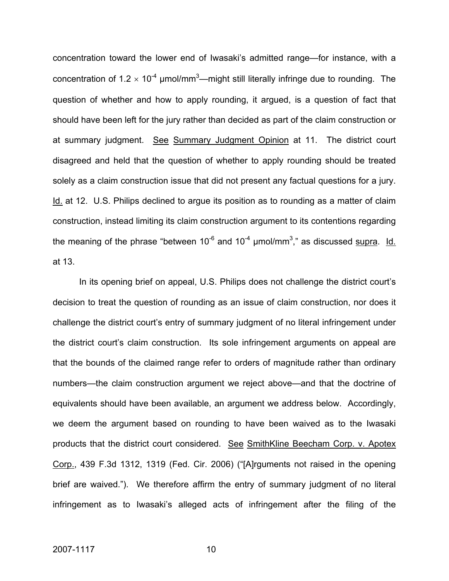concentration toward the lower end of Iwasaki's admitted range—for instance, with a concentration of 1.2  $\times$  10<sup>-4</sup> µmol/mm<sup>3</sup>—might still literally infringe due to rounding. The question of whether and how to apply rounding, it argued, is a question of fact that should have been left for the jury rather than decided as part of the claim construction or at summary judgment. See Summary Judgment Opinion at 11. The district court disagreed and held that the question of whether to apply rounding should be treated solely as a claim construction issue that did not present any factual questions for a jury. Id. at 12. U.S. Philips declined to argue its position as to rounding as a matter of claim construction, instead limiting its claim construction argument to its contentions regarding the meaning of the phrase "between 10<sup>-6</sup> and 10<sup>-4</sup>  $\mu$ mol/mm<sup>3</sup>," as discussed <u>supra</u>. Id. at 13.

In its opening brief on appeal, U.S. Philips does not challenge the district court's decision to treat the question of rounding as an issue of claim construction, nor does it challenge the district court's entry of summary judgment of no literal infringement under the district court's claim construction. Its sole infringement arguments on appeal are that the bounds of the claimed range refer to orders of magnitude rather than ordinary numbers—the claim construction argument we reject above—and that the doctrine of equivalents should have been available, an argument we address below. Accordingly, we deem the argument based on rounding to have been waived as to the Iwasaki products that the district court considered. See SmithKline Beecham Corp. v. Apotex Corp., 439 F.3d 1312, 1319 (Fed. Cir. 2006) ("[A]rguments not raised in the opening brief are waived."). We therefore affirm the entry of summary judgment of no literal infringement as to Iwasaki's alleged acts of infringement after the filing of the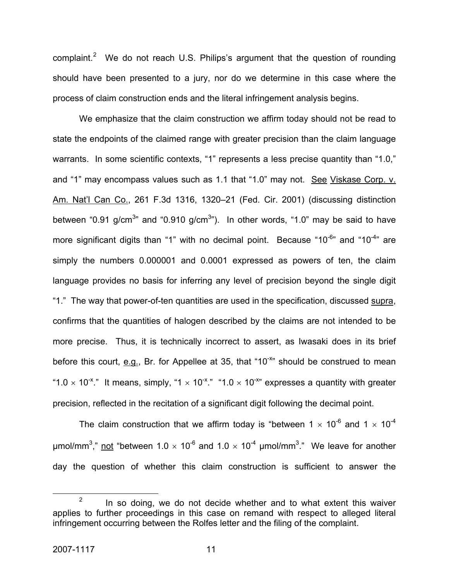complaint.<sup>[2](#page-11-0)</sup> We do not reach U.S. Philips's argument that the question of rounding should have been presented to a jury, nor do we determine in this case where the process of claim construction ends and the literal infringement analysis begins.

We emphasize that the claim construction we affirm today should not be read to state the endpoints of the claimed range with greater precision than the claim language warrants. In some scientific contexts, "1" represents a less precise quantity than "1.0," and "1" may encompass values such as 1.1 that "1.0" may not. See Viskase Corp. v. Am. Nat'l Can Co., 261 F.3d 1316, 1320–21 (Fed. Cir. 2001) (discussing distinction between "0.91 g/cm<sup>3</sup>" and "0.910 g/cm<sup>3</sup>"). In other words, "1.0" may be said to have more significant digits than "1" with no decimal point. Because "10 $\degree$ " and "10 $\degree$ " are simply the numbers 0.000001 and 0.0001 expressed as powers of ten, the claim language provides no basis for inferring any level of precision beyond the single digit "1." The way that power-of-ten quantities are used in the specification, discussed supra, confirms that the quantities of halogen described by the claims are not intended to be more precise. Thus, it is technically incorrect to assert, as Iwasaki does in its brief before this court,  $\underline{e.g.}$ , Br. for Appellee at 35, that "10<sup>-x</sup>" should be construed to mean "1.0  $\times$  10<sup>-x</sup>." It means, simply, "1  $\times$  10<sup>-x</sup>." "1.0  $\times$  10<sup>-x</sup>" expresses a quantity with greater precision, reflected in the recitation of a significant digit following the decimal point.

The claim construction that we affirm today is "between 1  $\times$  10<sup>-6</sup> and 1  $\times$  10<sup>-4</sup> μmol/mm<sup>3</sup>," not "between 1.0  $\times$  10<sup>-6</sup> and 1.0  $\times$  10<sup>-4</sup> μmol/mm<sup>3</sup>." We leave for another day the question of whether this claim construction is sufficient to answer the

<span id="page-11-0"></span> $\frac{1}{2}$  $\frac{1}{2}$  In so doing, we do not decide whether and to what extent this waiver applies to further proceedings in this case on remand with respect to alleged literal infringement occurring between the Rolfes letter and the filing of the complaint.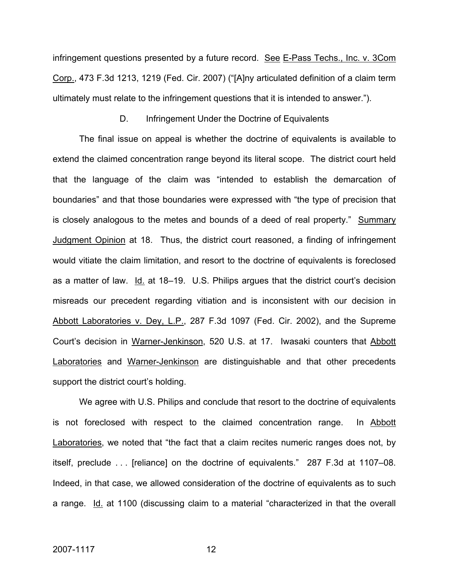infringement questions presented by a future record. See E-Pass Techs., Inc. v. 3Com Corp., 473 F.3d 1213, 1219 (Fed. Cir. 2007) ("[A]ny articulated definition of a claim term ultimately must relate to the infringement questions that it is intended to answer.").

#### D. Infringement Under the Doctrine of Equivalents

The final issue on appeal is whether the doctrine of equivalents is available to extend the claimed concentration range beyond its literal scope. The district court held that the language of the claim was "intended to establish the demarcation of boundaries" and that those boundaries were expressed with "the type of precision that is closely analogous to the metes and bounds of a deed of real property." Summary Judgment Opinion at 18. Thus, the district court reasoned, a finding of infringement would vitiate the claim limitation, and resort to the doctrine of equivalents is foreclosed as a matter of law. Id. at 18–19. U.S. Philips argues that the district court's decision misreads our precedent regarding vitiation and is inconsistent with our decision in Abbott Laboratories v. Dey, L.P., 287 F.3d 1097 (Fed. Cir. 2002), and the Supreme Court's decision in Warner-Jenkinson, 520 U.S. at 17. Iwasaki counters that Abbott Laboratories and Warner-Jenkinson are distinguishable and that other precedents support the district court's holding.

We agree with U.S. Philips and conclude that resort to the doctrine of equivalents is not foreclosed with respect to the claimed concentration range. In Abbott Laboratories, we noted that "the fact that a claim recites numeric ranges does not, by itself, preclude . . . [reliance] on the doctrine of equivalents." 287 F.3d at 1107–08. Indeed, in that case, we allowed consideration of the doctrine of equivalents as to such a range. Id. at 1100 (discussing claim to a material "characterized in that the overall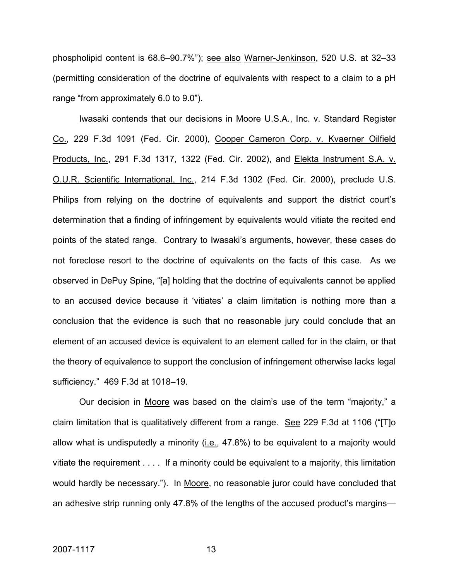phospholipid content is 68.6–90.7%"); see also Warner-Jenkinson, 520 U.S. at 32–33 (permitting consideration of the doctrine of equivalents with respect to a claim to a pH range "from approximately 6.0 to 9.0").

Iwasaki contends that our decisions in Moore U.S.A., Inc. v. Standard Register Co., 229 F.3d 1091 (Fed. Cir. 2000), Cooper Cameron Corp. v. Kvaerner Oilfield Products, Inc., 291 F.3d 1317, 1322 (Fed. Cir. 2002), and Elekta Instrument S.A. v. O.U.R. Scientific International, Inc., 214 F.3d 1302 (Fed. Cir. 2000), preclude U.S. Philips from relying on the doctrine of equivalents and support the district court's determination that a finding of infringement by equivalents would vitiate the recited end points of the stated range. Contrary to Iwasaki's arguments, however, these cases do not foreclose resort to the doctrine of equivalents on the facts of this case. As we observed in DePuy Spine, "[a] holding that the doctrine of equivalents cannot be applied to an accused device because it 'vitiates' a claim limitation is nothing more than a conclusion that the evidence is such that no reasonable jury could conclude that an element of an accused device is equivalent to an element called for in the claim, or that the theory of equivalence to support the conclusion of infringement otherwise lacks legal sufficiency." 469 F.3d at 1018–19.

Our decision in Moore was based on the claim's use of the term "majority," a claim limitation that is qualitatively different from a range. See 229 F.3d at 1106 ("[T]o allow what is undisputedly a minority (*i.e.*,  $47.8\%$ ) to be equivalent to a majority would vitiate the requirement . . . . If a minority could be equivalent to a majority, this limitation would hardly be necessary."). In Moore, no reasonable juror could have concluded that an adhesive strip running only 47.8% of the lengths of the accused product's margins—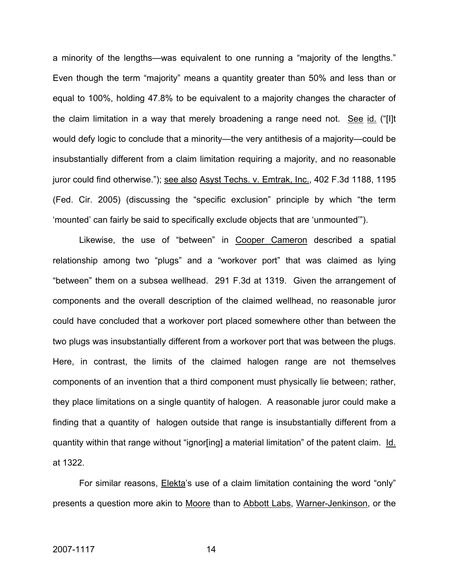a minority of the lengths—was equivalent to one running a "majority of the lengths." Even though the term "majority" means a quantity greater than 50% and less than or equal to 100%, holding 47.8% to be equivalent to a majority changes the character of the claim limitation in a way that merely broadening a range need not. See id. ("[I]t would defy logic to conclude that a minority—the very antithesis of a majority—could be insubstantially different from a claim limitation requiring a majority, and no reasonable juror could find otherwise."); see also Asyst Techs. v. Emtrak, Inc., 402 F.3d 1188, 1195 (Fed. Cir. 2005) (discussing the "specific exclusion" principle by which "the term 'mounted' can fairly be said to specifically exclude objects that are 'unmounted'").

Likewise, the use of "between" in Cooper Cameron described a spatial relationship among two "plugs" and a "workover port" that was claimed as lying "between" them on a subsea wellhead. 291 F.3d at 1319. Given the arrangement of components and the overall description of the claimed wellhead, no reasonable juror could have concluded that a workover port placed somewhere other than between the two plugs was insubstantially different from a workover port that was between the plugs. Here, in contrast, the limits of the claimed halogen range are not themselves components of an invention that a third component must physically lie between; rather, they place limitations on a single quantity of halogen. A reasonable juror could make a finding that a quantity of halogen outside that range is insubstantially different from a quantity within that range without "ignor[ing] a material limitation" of the patent claim. Id. at 1322.

For similar reasons, **Elekta's use of a claim limitation containing the word "only"** presents a question more akin to Moore than to Abbott Labs, Warner-Jenkinson, or the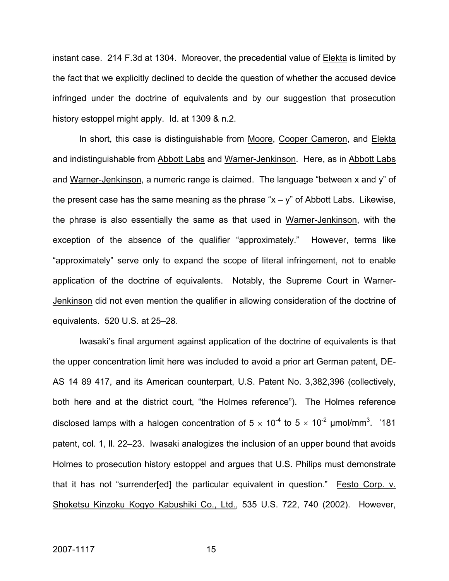instant case. 214 F.3d at 1304. Moreover, the precedential value of Elekta is limited by the fact that we explicitly declined to decide the question of whether the accused device infringed under the doctrine of equivalents and by our suggestion that prosecution history estoppel might apply. Id. at 1309 & n.2.

In short, this case is distinguishable from Moore, Cooper Cameron, and Elekta and indistinguishable from Abbott Labs and Warner-Jenkinson. Here, as in Abbott Labs and Warner-Jenkinson, a numeric range is claimed. The language "between x and y" of the present case has the same meaning as the phrase " $x - y$ " of Abbott Labs. Likewise, the phrase is also essentially the same as that used in Warner-Jenkinson, with the exception of the absence of the qualifier "approximately." However, terms like "approximately" serve only to expand the scope of literal infringement, not to enable application of the doctrine of equivalents. Notably, the Supreme Court in Warner-Jenkinson did not even mention the qualifier in allowing consideration of the doctrine of equivalents. 520 U.S. at 25–28.

Iwasaki's final argument against application of the doctrine of equivalents is that the upper concentration limit here was included to avoid a prior art German patent, DE-AS 14 89 417, and its American counterpart, U.S. Patent No. 3,382,396 (collectively, both here and at the district court, "the Holmes reference"). The Holmes reference disclosed lamps with a halogen concentration of 5  $\times$  10<sup>-4</sup> to 5  $\times$  10<sup>-2</sup> µmol/mm<sup>3</sup>. '181 patent, col. 1, ll. 22–23. Iwasaki analogizes the inclusion of an upper bound that avoids Holmes to prosecution history estoppel and argues that U.S. Philips must demonstrate that it has not "surrender[ed] the particular equivalent in question." Festo Corp. v. Shoketsu Kinzoku Kogyo Kabushiki Co., Ltd., 535 U.S. 722, 740 (2002). However,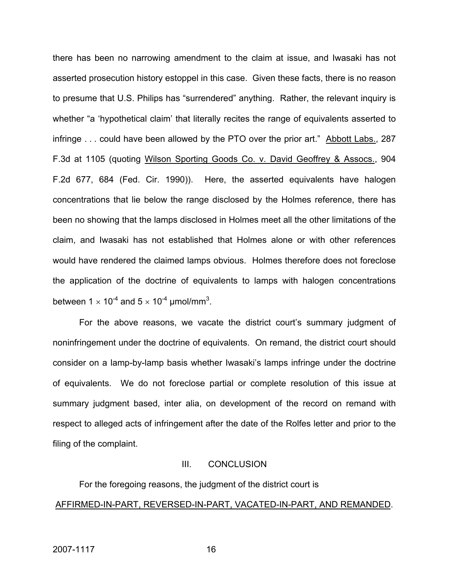there has been no narrowing amendment to the claim at issue, and Iwasaki has not asserted prosecution history estoppel in this case. Given these facts, there is no reason to presume that U.S. Philips has "surrendered" anything. Rather, the relevant inquiry is whether "a 'hypothetical claim' that literally recites the range of equivalents asserted to infringe . . . could have been allowed by the PTO over the prior art." Abbott Labs., 287 F.3d at 1105 (quoting Wilson Sporting Goods Co. v. David Geoffrey & Assocs., 904 F.2d 677, 684 (Fed. Cir. 1990)). Here, the asserted equivalents have halogen concentrations that lie below the range disclosed by the Holmes reference, there has been no showing that the lamps disclosed in Holmes meet all the other limitations of the claim, and Iwasaki has not established that Holmes alone or with other references would have rendered the claimed lamps obvious. Holmes therefore does not foreclose the application of the doctrine of equivalents to lamps with halogen concentrations between 1  $\times$  10<sup>-4</sup> and 5  $\times$  10<sup>-4</sup> µmol/mm<sup>3</sup>.

For the above reasons, we vacate the district court's summary judgment of noninfringement under the doctrine of equivalents. On remand, the district court should consider on a lamp-by-lamp basis whether Iwasaki's lamps infringe under the doctrine of equivalents. We do not foreclose partial or complete resolution of this issue at summary judgment based, inter alia, on development of the record on remand with respect to alleged acts of infringement after the date of the Rolfes letter and prior to the filing of the complaint.

#### III. CONCLUSION

For the foregoing reasons, the judgment of the district court is AFFIRMED-IN-PART, REVERSED-IN-PART, VACATED-IN-PART, AND REMANDED.